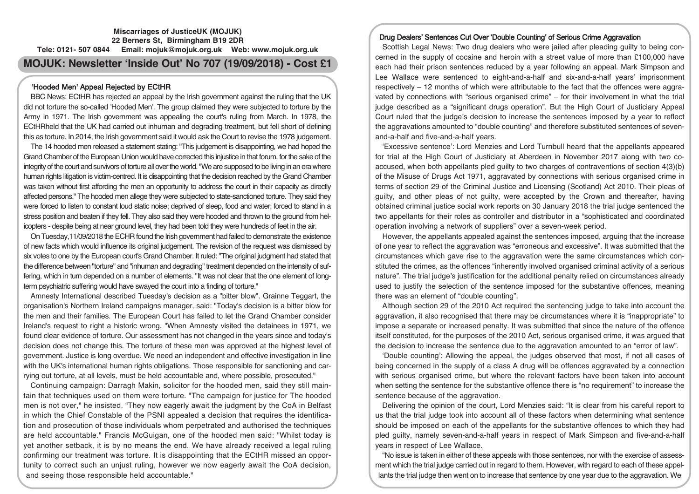# 'Hooded Men' Appeal Rejected by ECtHR

BBC News: ECtHR has rejected an appeal by the Irish government against the ruling that the UK did not torture the so-called 'Hooded Men'. The group claimed they were subjected to torture by the Army in 1971. The Irish government was appealing the court's ruling from March. In 1978, the ECtHRheld that the UK had carried out inhuman and degrading treatment, but fell short of defining this as torture. In 2014, the Irish government said it would ask the Court to revise the 1978 judgement.

The 14 hooded men released a statement stating: "This judgement is disappointing, we had hoped the Grand Chamber of the European Union would have corrected this injustice in that forum, for the sake of the integrity of the court and survivors of torture all over the world. "We are supposed to be living in an era where human rights litigation is victim-centred. It is disappointing that the decision reached by the Grand Chamber was taken without first affording the men an opportunity to address the court in their capacity as directly affected persons." The hooded men allege they were subjected to state-sanctioned torture. They said they were forced to listen to constant loud static noise; deprived of sleep, food and water; forced to stand in a stress position and beaten if they fell. They also said they were hooded and thrown to the ground from helicopters - despite being at near ground level, they had been told they were hundreds of feet in the air.

On Tuesday, 11/09/2018 the ECHR found the Irish government had failed to demonstrate the existence of new facts which would influence its original judgement. The revision of the request was dismissed by six votes to one by the European court's Grand Chamber. It ruled: "The original judgment had stated that the difference between "torture" and "inhuman and degrading"treatment depended on the intensity of suffering, which in turn depended on a number of elements. "It was not clear that the one element of longterm psychiatric suffering would have swayed the court into a finding of torture."

Amnesty International described Tuesday's decision as a "bitter blow". Grainne Teggart, the organisation's Northern Ireland campaigns manager, said: "Today's decision is a bitter blow for the men and their families. The European Court has failed to let the Grand Chamber consider Ireland's request to right a historic wrong. "When Amnesty visited the detainees in 1971, we found clear evidence of torture. Our assessment has not changed in the years since and today's decision does not change this. The torture of these men was approved at the highest level of government. Justice is long overdue. We need an independent and effective investigation in line with the UK's international human rights obligations. Those responsible for sanctioning and carrying out torture, at all levels, must be held accountable and, where possible, prosecuted."

Continuing campaign: Darragh Makin, solicitor for the hooded men, said they still maintain that techniques used on them were torture. "The campaign for justice for The hooded men is not over," he insisted. "They now eagerly await the judgment by the CoA in Belfast in which the Chief Constable of the PSNI appealed a decision that requires the identification and prosecution of those individuals whom perpetrated and authorised the techniques are held accountable." Francis McGuigan, one of the hooded men said: "Whilst today is yet another setback, it is by no means the end. We have already received a legal ruling confirming our treatment was torture. It is disappointing that the ECtHR missed an opportunity to correct such an unjust ruling, however we now eagerly await the CoA decision, and seeing those responsible held accountable."

## Drug Dealers' Sentences Cut Over 'Double Counting' of Serious Crime Aggravation

Scottish Legal News: Two drug dealers who were jailed after pleading guilty to being concerned in the supply of cocaine and heroin with a street value of more than £100,000 have each had their prison sentences reduced by a year following an appeal. Mark Simpson and Lee Wallace were sentenced to eight-and-a-half and six-and-a-half years' imprisonment respectively – 12 months of which were attributable to the fact that the offences were aggravated by connections with "serious organised crime" – for their involvement in what the trial judge described as a "significant drugs operation". But the High Court of Justiciary Appeal Court ruled that the judge's decision to increase the sentences imposed by a year to reflect the aggravations amounted to "double counting" and therefore substituted sentences of sevenand-a-half and five-and-a-half years.

'Excessive sentence': Lord Menzies and Lord Turnbull heard that the appellants appeared for trial at the High Court of Justiciary at Aberdeen in November 2017 along with two coaccused, when both appellants pled guilty to two charges of contraventions of section 4(3)(b) of the Misuse of Drugs Act 1971, aggravated by connections with serious organised crime in terms of section 29 of the Criminal Justice and Licensing (Scotland) Act 2010. Their pleas of guilty, and other pleas of not guilty, were accepted by the Crown and thereafter, having obtained criminal justice social work reports on 30 January 2018 the trial judge sentenced the two appellants for their roles as controller and distributor in a "sophisticated and coordinated operation involving a network of suppliers" over a seven-week period.

However, the appellants appealed against the sentences imposed, arguing that the increase of one year to reflect the aggravation was "erroneous and excessive". It was submitted that the circumstances which gave rise to the aggravation were the same circumstances which constituted the crimes, as the offences "inherently involved organised criminal activity of a serious nature". The trial judge's justification for the additional penalty relied on circumstances already used to justify the selection of the sentence imposed for the substantive offences, meaning there was an element of "double counting".

Although section 29 of the 2010 Act required the sentencing judge to take into account the aggravation, it also recognised that there may be circumstances where it is "inappropriate" to impose a separate or increased penalty. It was submitted that since the nature of the offence itself constituted, for the purposes of the 2010 Act, serious organised crime, it was argued that the decision to increase the sentence due to the aggravation amounted to an "error of law".

'Double counting': Allowing the appeal, the judges observed that most, if not all cases of being concerned in the supply of a class A drug will be offences aggravated by a connection with serious organised crime, but where the relevant factors have been taken into account when setting the sentence for the substantive offence there is "no requirement" to increase the sentence because of the aggravation.

Delivering the opinion of the court, Lord Menzies said: "It is clear from his careful report to us that the trial judge took into account all of these factors when determining what sentence should be imposed on each of the appellants for the substantive offences to which they had pled guilty, namely seven-and-a-half years in respect of Mark Simpson and five-and-a-half years in respect of Lee Wallace.

"No issue is taken in either of these appeals with those sentences, nor with the exercise of assessment which the trial judge carried out in regard to them. However, with regard to each of these appellants the trial judge then went on to increase that sentence by one year due to the aggravation. We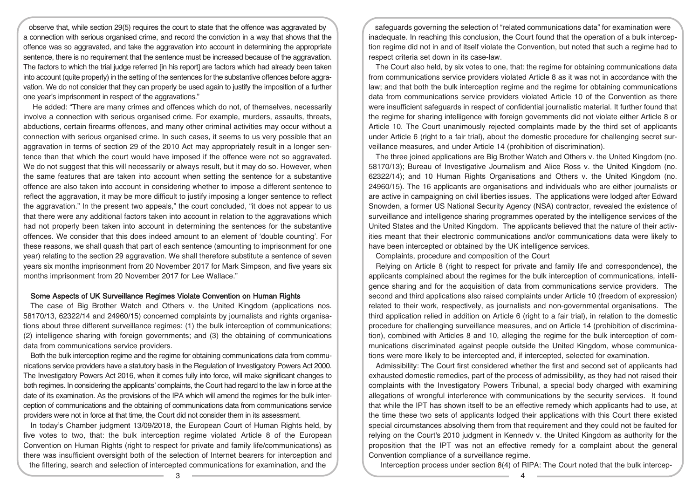observe that, while section 29(5) requires the court to state that the offence was aggravated by a connection with serious organised crime, and record the conviction in a way that shows that the offence was so aggravated, and take the aggravation into account in determining the appropriate sentence, there is no requirement that the sentence must be increased because of the aggravation. The factors to which the trial judge referred [in his report] are factors which had already been taken into account (quite properly) in the setting of the sentences for the substantive offences before aggravation. We do not consider that they can properly be used again to justify the imposition of a further one year's imprisonment in respect of the aggravations."

He added: "There are many crimes and offences which do not, of themselves, necessarily involve a connection with serious organised crime. For example, murders, assaults, threats, abductions, certain firearms offences, and many other criminal activities may occur without a connection with serious organised crime. In such cases, it seems to us very possible that an aggravation in terms of section 29 of the 2010 Act may appropriately result in a longer sentence than that which the court would have imposed if the offence were not so aggravated. We do not suggest that this will necessarily or always result, but it may do so. However, when the same features that are taken into account when setting the sentence for a substantive offence are also taken into account in considering whether to impose a different sentence to reflect the aggravation, it may be more difficult to justify imposing a longer sentence to reflect the aggravation." In the present two appeals," the court concluded, "it does not appear to us that there were any additional factors taken into account in relation to the aggravations which had not properly been taken into account in determining the sentences for the substantive offences. We consider that this does indeed amount to an element of 'double counting'. For these reasons, we shall quash that part of each sentence (amounting to imprisonment for one year) relating to the section 29 aggravation. We shall therefore substitute a sentence of seven years six months imprisonment from 20 November 2017 for Mark Simpson, and five years six months imprisonment from 20 November 2017 for Lee Wallace."

#### Some Aspects of UK Surveillance Regimes Violate Convention on Human Rights

The case of Big Brother Watch and Others v. the United Kingdom (applications nos. 58170/13, 62322/14 and 24960/15) concerned complaints by journalists and rights organisations about three different surveillance regimes: (1) the bulk interception of communications; (2) intelligence sharing with foreign governments; and (3) the obtaining of communications data from communications service providers.

Both the bulk interception regime and the regime for obtaining communications data from communications service providers have a statutory basis in the Regulation of Investigatory Powers Act 2000. The Investigatory Powers Act 2016, when it comes fully into force, will make significant changes to both regimes. In considering the applicants' complaints, the Court had regard to the law in force at the date of its examination. As the provisions of the IPA which will amend the regimes for the bulk interception of communications and the obtaining of communications data from communications service providers were not in force at that time, the Court did not consider them in its assessment.

In today's Chamber judgment 13/09/2018, the European Court of Human Rights held, by five votes to two, that: the bulk interception regime violated Article 8 of the European Convention on Human Rights (right to respect for private and family life/communications) as there was insufficient oversight both of the selection of Internet bearers for interception and the filtering, search and selection of intercepted communications for examination, and the

safeguards governing the selection of "related communications data" for examination were inadequate. In reaching this conclusion, the Court found that the operation of a bulk interception regime did not in and of itself violate the Convention, but noted that such a regime had to respect criteria set down in its case-law.

The Court also held, by six votes to one, that: the regime for obtaining communications data from communications service providers violated Article 8 as it was not in accordance with the law; and that both the bulk interception regime and the regime for obtaining communications data from communications service providers violated Article 10 of the Convention as there were insufficient safeguards in respect of confidential journalistic material. It further found that the regime for sharing intelligence with foreign governments did not violate either Article 8 or Article 10. The Court unanimously rejected complaints made by the third set of applicants under Article 6 (right to a fair trial), about the domestic procedure for challenging secret surveillance measures, and under Article 14 (prohibition of discrimination).

The three joined applications are Big Brother Watch and Others v. the United Kingdom (no. 58170/13); Bureau of Investigative Journalism and Alice Ross v. the United Kingdom (no. 62322/14); and 10 Human Rights Organisations and Others v. the United Kingdom (no. 24960/15). The 16 applicants are organisations and individuals who are either journalists or are active in campaigning on civil liberties issues. The applications were lodged after Edward Snowden, a former US National Security Agency (NSA) contractor, revealed the existence of surveillance and intelligence sharing programmes operated by the intelligence services of the United States and the United Kingdom. The applicants believed that the nature of their activities meant that their electronic communications and/or communications data were likely to have been intercepted or obtained by the UK intelligence services.

Complaints, procedure and composition of the Court

Relying on Article 8 (right to respect for private and family life and correspondence), the applicants complained about the regimes for the bulk interception of communications, intelligence sharing and for the acquisition of data from communications service providers. The second and third applications also raised complaints under Article 10 (freedom of expression) related to their work, respectively, as journalists and non-governmental organisations. The third application relied in addition on Article 6 (right to a fair trial), in relation to the domestic procedure for challenging surveillance measures, and on Article 14 (prohibition of discrimination), combined with Articles 8 and 10, alleging the regime for the bulk interception of communications discriminated against people outside the United Kingdom, whose communications were more likely to be intercepted and, if intercepted, selected for examination.

Admissibility: The Court first considered whether the first and second set of applicants had exhausted domestic remedies, part of the process of admissibility, as they had not raised their complaints with the Investigatory Powers Tribunal, a special body charged with examining allegations of wrongful interference with communications by the security services. It found that while the IPT has shown itself to be an effective remedy which applicants had to use, at the time these two sets of applicants lodged their applications with this Court there existed special circumstances absolving them from that requirement and they could not be faulted for relying on the Court's 2010 judgment in Kennedv v. the United Kingdom as authority for the proposition that the IPT was not an effective remedy for a complaint about the general Convention compliance of a surveillance regime.

Interception process under section 8(4) of RIPA: The Court noted that the bulk intercep-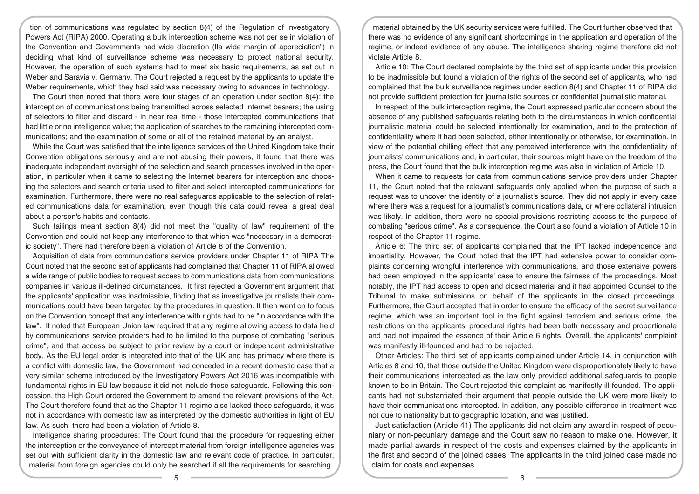tion of communications was regulated by section 8(4) of the Regulation of Investigatory Powers Act (RIPA) 2000. Operating a bulk interception scheme was not per se in violation of the Convention and Governments had wide discretion (lIa wide margin of appreciation") in deciding what kind of surveillance scheme was necessary to protect national security. However, the operation of such systems had to meet six basic requirements, as set out in Weber and Saravia v. Germanv. The Court rejected a request by the applicants to update the Weber requirements, which they had said was necessary owing to advances in technology.

The Court then noted that there were four stages of an operation under section 8(4): the interception of communications being transmitted across selected Internet bearers; the using of selectors to filter and discard - in near real time - those intercepted communications that had little or no intelligence value; the application of searches to the remaining intercepted communications; and the examination of some or all of the retained material by an analyst.

While the Court was satisfied that the intelligence services of the United Kingdom take their Convention obligations seriously and are not abusing their powers, it found that there was inadequate independent oversight of the selection and search processes involved in the operation, in particular when it came to selecting the Internet bearers for interception and choosing the selectors and search criteria used to filter and select intercepted communications for examination. Furthermore, there were no real safeguards applicable to the selection of related communications data for examination, even though this data could reveal a great deal about a person's habits and contacts.

Such failings meant section 8(4) did not meet the "quality of law" requirement of the Convention and could not keep any interference to that which was "necessary in a democratic society". There had therefore been a violation of Article 8 of the Convention.

Acquisition of data from communications service providers under Chapter 11 of RIPA The Court noted that the second set of applicants had complained that Chapter 11 of RIPA allowed a wide range of public bodies to request access to communications data from communications companies in various ill-defined circumstances. It first rejected a Government argument that the applicants' application was inadmissible, finding that as investigative journalists their communications could have been targeted by the procedures in question. It then went on to focus on the Convention concept that any interference with rights had to be "in accordance with the law". It noted that European Union law required that any regime allowing access to data held by communications service providers had to be limited to the purpose of combating "serious crime", and that access be subject to prior review by a court or independent administrative body. As the EU legal order is integrated into that of the UK and has primacy where there is a conflict with domestic law, the Government had conceded in a recent domestic case that a very similar scheme introduced by the Investigatory Powers Act 2016 was incompatible with fundamental rights in EU law because it did not include these safeguards. Following this concession, the High Court ordered the Government to amend the relevant provisions of the Act. The Court therefore found that as the Chapter 11 regime also lacked these safeguards, it was not in accordance with domestic law as interpreted by the domestic authorities in light of EU law. As such, there had been a violation of Article 8.

Intelligence sharing procedures: The Court found that the procedure for requesting either the interception or the conveyance of intercept material from foreign intelligence agencies was set out with sufficient clarity in the domestic law and relevant code of practice. In particular, material from foreign agencies could only be searched if all the requirements for searching

material obtained by the UK security services were fulfilled. The Court further observed that there was no evidence of any significant shortcomings in the application and operation of the regime, or indeed evidence of any abuse. The intelligence sharing regime therefore did not violate Article 8.

Article 10: The Court declared complaints by the third set of applicants under this provision to be inadmissible but found a violation of the rights of the second set of applicants, who had complained that the bulk surveillance regimes under section 8(4) and Chapter 11 of RIPA did not provide sufficient protection for journalistic sources or confidential journalistic material.

In respect of the bulk interception regime, the Court expressed particular concern about the absence of any published safeguards relating both to the circumstances in which confidential journalistic material could be selected intentionally for examination, and to the protection of confidentiality where it had been selected, either intentionally or otherwise, for examination. In view of the potential chilling effect that any perceived interference with the confidentiality of journalists' communications and, in particular, their sources might have on the freedom of the press, the Court found that the bulk interception regime was also in violation of Article 10.

When it came to requests for data from communications service providers under Chapter 11, the Court noted that the relevant safeguards only applied when the purpose of such a request was to uncover the identity of a journalist's source. They did not apply in every case where there was a request for a journalist's communications data, or where collateral intrusion was likely. In addition, there were no special provisions restricting access to the purpose of combating "serious crime". As a consequence, the Court also found a violation of Article 10 in respect of the Chapter 11 regime.

Article 6: The third set of applicants complained that the IPT lacked independence and impartiality. However, the Court noted that the IPT had extensive power to consider complaints concerning wrongful interference with communications, and those extensive powers had been employed in the applicants' case to ensure the fairness of the proceedings. Most notably, the IPT had access to open and closed material and it had appointed Counsel to the Tribunal to make submissions on behalf of the applicants in the closed proceedings. Furthermore, the Court accepted that in order to ensure the efficacy of the secret surveillance regime, which was an important tool in the fight against terrorism and serious crime, the restrictions on the applicants' procedural rights had been both necessary and proportionate and had not impaired the essence of their Article 6 rights. Overall, the applicants' complaint was manifestly ill-founded and had to be rejected.

Other Articles: The third set of applicants complained under Article 14, in conjunction with Articles 8 and 10, that those outside the United Kingdom were disproportionately likely to have their communications intercepted as the law only provided additional safeguards to people known to be in Britain. The Court rejected this complaint as manifestly ill-founded. The applicants had not substantiated their argument that people outside the UK were more likely to have their communications intercepted. In addition, any possible difference in treatment was not due to nationality but to geographic location, and was justified.

Just satisfaction (Article 41) The applicants did not claim any award in respect of pecuniary or non-pecuniary damage and the Court saw no reason to make one. However, it made partial awards in respect of the costs and expenses claimed by the applicants in the first and second of the joined cases. The applicants in the third joined case made no claim for costs and expenses.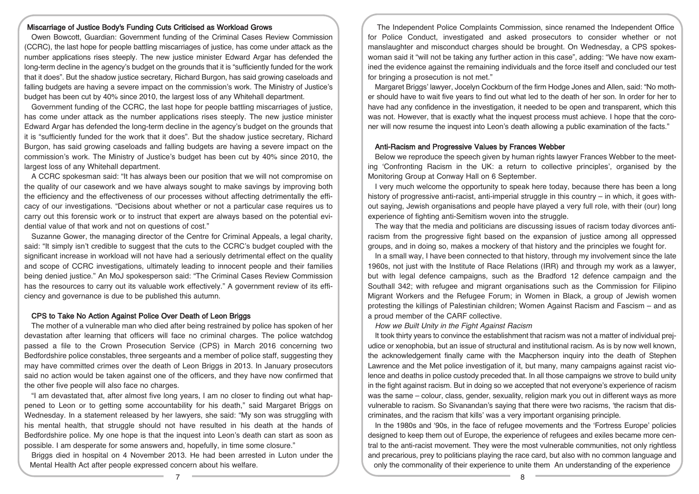### Miscarriage of Justice Body's Funding Cuts Criticised as Workload Grows

Owen Bowcott, Guardian: Government funding of the Criminal Cases Review Commission (CCRC), the last hope for people battling miscarriages of justice, has come under attack as the number applications rises steeply. The new justice minister Edward Argar has defended the long-term decline in the agency's budget on the grounds that it is "sufficiently funded for the work that it does". But the shadow justice secretary, Richard Burgon, has said growing caseloads and falling budgets are having a severe impact on the commission's work. The Ministry of Justice's budget has been cut by 40% since 2010, the largest loss of any Whitehall department.

Government funding of the CCRC, the last hope for people battling miscarriages of justice, has come under attack as the number applications rises steeply. The new justice minister Edward Argar has defended the long-term decline in the agency's budget on the grounds that it is "sufficiently funded for the work that it does". But the shadow justice secretary, Richard Burgon, has said growing caseloads and falling budgets are having a severe impact on the commission's work. The Ministry of Justice's budget has been cut by 40% since 2010, the largest loss of any Whitehall department.

A CCRC spokesman said: "It has always been our position that we will not compromise on the quality of our casework and we have always sought to make savings by improving both the efficiency and the effectiveness of our processes without affecting detrimentally the efficacy of our investigations. "Decisions about whether or not a particular case requires us to carry out this forensic work or to instruct that expert are always based on the potential evidential value of that work and not on questions of cost."

Suzanne Gower, the managing director of the Centre for Criminal Appeals, a legal charity, said: "It simply isn't credible to suggest that the cuts to the CCRC's budget coupled with the significant increase in workload will not have had a seriously detrimental effect on the quality and scope of CCRC investigations, ultimately leading to innocent people and their families being denied justice." An MoJ spokesperson said: "The Criminal Cases Review Commission has the resources to carry out its valuable work effectively." A government review of its efficiency and governance is due to be published this autumn.

### CPS to Take No Action Against Police Over Death of Leon Briggs

The mother of a vulnerable man who died after being restrained by police has spoken of her devastation after learning that officers will face no criminal charges. The police watchdog passed a file to the Crown Prosecution Service (CPS) in March 2016 concerning two Bedfordshire police constables, three sergeants and a member of police staff, suggesting they may have committed crimes over the death of Leon Briggs in 2013. In January prosecutors said no action would be taken against one of the officers, and they have now confirmed that the other five people will also face no charges.

"I am devastated that, after almost five long years, I am no closer to finding out what happened to Leon or to getting some accountability for his death," said Margaret Briggs on Wednesday. In a statement released by her lawyers, she said: "My son was struggling with his mental health, that struggle should not have resulted in his death at the hands of Bedfordshire police. My one hope is that the inquest into Leon's death can start as soon as possible. I am desperate for some answers and, hopefully, in time some closure."

Briggs died in hospital on 4 November 2013. He had been arrested in Luton under the Mental Health Act after people expressed concern about his welfare.

The Independent Police Complaints Commission, since renamed the Independent Office for Police Conduct, investigated and asked prosecutors to consider whether or not manslaughter and misconduct charges should be brought. On Wednesday, a CPS spokeswoman said it "will not be taking any further action in this case", adding: "We have now examined the evidence against the remaining individuals and the force itself and concluded our test for bringing a prosecution is not met."

Margaret Briggs' lawyer, Jocelyn Cockburn of the firm Hodge Jones and Allen, said: "No mother should have to wait five years to find out what led to the death of her son. In order for her to have had any confidence in the investigation, it needed to be open and transparent, which this was not. However, that is exactly what the inquest process must achieve. I hope that the coroner will now resume the inquest into Leon's death allowing a public examination of the facts."

### Anti-Racism and Progressive Values by Frances Webber

Below we reproduce the speech given by human rights lawyer Frances Webber to the meeting 'Confronting Racism in the UK: a return to collective principles', organised by the Monitoring Group at Conway Hall on 6 September.

I very much welcome the opportunity to speak here today, because there has been a long history of progressive anti-racist, anti-imperial struggle in this country – in which, it goes without saying, Jewish organisations and people have played a very full role, with their (our) long experience of fighting anti-Semitism woven into the struggle.

The way that the media and politicians are discussing issues of racism today divorces antiracism from the progressive fight based on the expansion of justice among all oppressed groups, and in doing so, makes a mockery of that history and the principles we fought for.

In a small way, I have been connected to that history, through my involvement since the late 1960s, not just with the Institute of Race Relations (IRR) and through my work as a lawyer, but with legal defence campaigns, such as the Bradford 12 defence campaign and the Southall 342; with refugee and migrant organisations such as the Commission for Filipino Migrant Workers and the Refugee Forum; in Women in Black, a group of Jewish women protesting the killings of Palestinian children; Women Against Racism and Fascism – and as a proud member of the CARF collective.

How we Built Unity in the Fight Against Racism

It took thirty years to convince the establishment that racism was not a matter of individual prejudice or xenophobia, but an issue of structural and institutional racism. As is by now well known, the acknowledgement finally came with the Macpherson inquiry into the death of Stephen Lawrence and the Met police investigation of it, but many, many campaigns against racist violence and deaths in police custody preceded that. In all those campaigns we strove to build unity in the fight against racism. But in doing so we accepted that not everyone's experience of racism was the same – colour, class, gender, sexuality, religion mark you out in different ways as more vulnerable to racism. So Sivanandan's saying that there were two racisms, 'the racism that discriminates, and the racism that kills' was a very important organising principle.

In the 1980s and '90s, in the face of refugee movements and the 'Fortress Europe' policies designed to keep them out of Europe, the experience of refugees and exiles became more central to the anti-racist movement. They were the most vulnerable communities, not only rightless and precarious, prey to politicians playing the race card, but also with no common language and only the commonality of their experience to unite them An understanding of the experience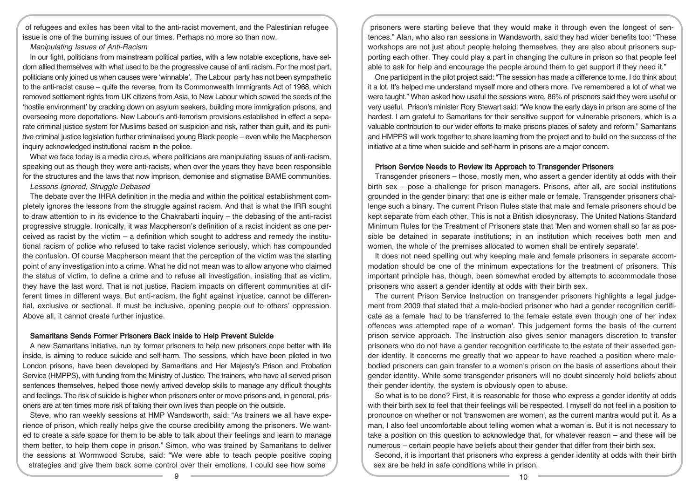of refugees and exiles has been vital to the anti-racist movement, and the Palestinian refugee issue is one of the burning issues of our times. Perhaps no more so than now. Manipulating Issues of Anti-Racism

In our fight, politicians from mainstream political parties, with a few notable exceptions, have seldom allied themselves with what used to be the progressive cause of anti racism. For the most part, politicians only joined us when causes were 'winnable'. The Labour party has not been sympathetic to the anti-racist cause – quite the reverse, from its Commonwealth Immigrants Act of 1968, which removed settlement rights from UK citizens from Asia, to New Labour which sowed the seeds of the 'hostile environment' by cracking down on asylum seekers, building more immigration prisons, and overseeing more deportations. New Labour's anti-terrorism provisions established in effect a separate criminal justice system for Muslims based on suspicion and risk, rather than guilt, and its punitive criminal justice legislation further criminalised young Black people – even while the Macpherson inquiry acknowledged institutional racism in the police.

What we face today is a media circus, where politicians are manipulating issues of anti-racism, speaking out as though they were anti-racists, when over the years they have been responsible for the structures and the laws that now imprison, demonise and stigmatise BAME communities. Lessons Ignored, Struggle Debased

The debate over the IHRA definition in the media and within the political establishment completely ignores the lessons from the struggle against racism. And that is what the IRR sought to draw attention to in its evidence to the Chakrabarti inquiry – the debasing of the anti-racist progressive struggle. Ironically, it was Macpherson's definition of a racist incident as one perceived as racist by the victim  $-$  a definition which sought to address and remedy the institutional racism of police who refused to take racist violence seriously, which has compounded the confusion. Of course Macpherson meant that the perception of the victim was the starting point of any investigation into a crime. What he did not mean was to allow anyone who claimed the status of victim, to define a crime and to refuse all investigation, insisting that as victim, they have the last word. That is not justice. Racism impacts on different communities at different times in different ways. But anti-racism, the fight against injustice, cannot be differential, exclusive or sectional. It must be inclusive, opening people out to others' oppression. Above all, it cannot create further injustice.

### Samaritans Sends Former Prisoners Back Inside to Help Prevent Suicide

A new Samaritans initiative, run by former prisoners to help new prisoners cope better with life inside, is aiming to reduce suicide and self-harm. The sessions, which have been piloted in two London prisons, have been developed by Samaritans and Her Majesty's Prison and Probation Service (HMPPS), with funding from the Ministry of Justice. The trainers, who have all served prison sentences themselves, helped those newly arrived develop skills to manage any difficult thoughts and feelings. The risk of suicide is higher when prisoners enter or move prisons and, in general, prisoners are at ten times more risk of taking their own lives than people on the outside.

Steve, who ran weekly sessions at HMP Wandsworth, said: "As trainers we all have experience of prison, which really helps give the course credibility among the prisoners. We wanted to create a safe space for them to be able to talk about their feelings and learn to manage them better, to help them cope in prison." Simon, who was trained by Samaritans to deliver the sessions at Wormwood Scrubs, said: "We were able to teach people positive coping strategies and give them back some control over their emotions. I could see how some

prisoners were starting believe that they would make it through even the longest of sentences." Alan, who also ran sessions in Wandsworth, said they had wider benefits too: "These workshops are not just about people helping themselves, they are also about prisoners supporting each other. They could play a part in changing the culture in prison so that people feel able to ask for help and encourage the people around them to get support if they need it."

One participant in the pilot project said: "The session has made a difference to me. I do think about it a lot. It's helped me understand myself more and others more. I've remembered a lot of what we were taught." When asked how useful the sessions were, 86% of prisoners said they were useful or very useful. Prison's minister Rory Stewart said: "We know the early days in prison are some of the hardest. I am grateful to Samaritans for their sensitive support for vulnerable prisoners, which is a valuable contribution to our wider efforts to make prisons places of safety and reform." Samaritans and HMPPS will work together to share learning from the project and to build on the success of the initiative at a time when suicide and self-harm in prisons are a major concern.

#### Prison Service Needs to Review its Approach to Transgender Prisoners

Transgender prisoners – those, mostly men, who assert a gender identity at odds with their birth sex – pose a challenge for prison managers. Prisons, after all, are social institutions grounded in the gender binary: that one is either male or female. Transgender prisoners challenge such a binary. The current Prison Rules state that male and female prisoners should be kept separate from each other. This is not a British idiosyncrasy. The United Nations Standard Minimum Rules for the Treatment of Prisoners state that 'Men and women shall so far as possible be detained in separate institutions; in an institution which receives both men and women, the whole of the premises allocated to women shall be entirely separate'.

It does not need spelling out why keeping male and female prisoners in separate accommodation should be one of the minimum expectations for the treatment of prisoners. This important principle has, though, been somewhat eroded by attempts to accommodate those prisoners who assert a gender identity at odds with their birth sex.

The current Prison Service Instruction on transgender prisoners highlights a legal judgement from 2009 that stated that a male-bodied prisoner who had a gender recognition certificate as a female 'had to be transferred to the female estate even though one of her index offences was attempted rape of a woman'. This judgement forms the basis of the current prison service approach. The Instruction also gives senior managers discretion to transfer prisoners who do not have a gender recognition certificate to the estate of their asserted gender identity. It concerns me greatly that we appear to have reached a position where malebodied prisoners can gain transfer to a women's prison on the basis of assertions about their gender identity. While some transgender prisoners will no doubt sincerely hold beliefs about their gender identity, the system is obviously open to abuse.

So what is to be done? First, it is reasonable for those who express a gender identity at odds with their birth sex to feel that their feelings will be respected. I myself do not feel in a position to pronounce on whether or not 'transwomen are women', as the current mantra would put it. As a man, I also feel uncomfortable about telling women what a woman is. But it is not necessary to take a position on this question to acknowledge that, for whatever reason – and these will be numerous – certain people have beliefs about their gender that differ from their birth sex.

Second, it is important that prisoners who express a gender identity at odds with their birth sex are be held in safe conditions while in prison.